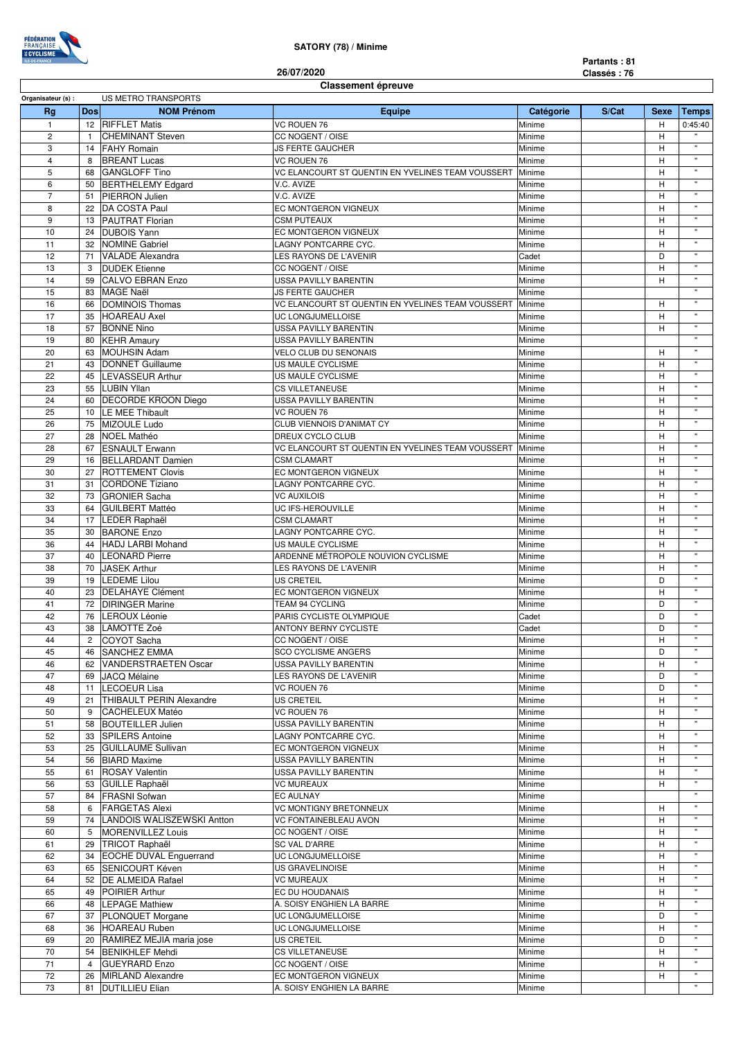

## **SATORY (78) / Minime**

**Partants : 81 Classés : 76**

## **Classement épreuve 26/07/2020**

| Organisateur (s) : |                | US METRO TRANSPORTS        |                                                   |           |       |             |              |  |  |
|--------------------|----------------|----------------------------|---------------------------------------------------|-----------|-------|-------------|--------------|--|--|
| Rg                 | <b>Dos</b>     | <b>NOM Prénom</b>          | <b>Equipe</b>                                     | Catégorie | S/Cat | <b>Sexe</b> | <b>Temps</b> |  |  |
| $\mathbf{1}$       | 12             | <b>RIFFLET Matis</b>       | VC ROUEN 76                                       | Minime    |       | Н           | 0:45:40      |  |  |
|                    |                |                            |                                                   |           |       |             |              |  |  |
| $\overline{c}$     | $\mathbf{1}$   | <b>CHEMINANT Steven</b>    | CC NOGENT / OISE                                  | Minime    |       | H           | $\mathbf{u}$ |  |  |
| 3                  | 14             | <b>FAHY Romain</b>         | <b>JS FERTE GAUCHER</b>                           | Minime    |       | Η           |              |  |  |
| $\overline{4}$     | 8              | <b>BREANT Lucas</b>        | VC ROUEN 76                                       | Minime    |       | H           | $\mathbf{u}$ |  |  |
| 5                  | 68             | <b>GANGLOFF Tino</b>       | VC ELANCOURT ST QUENTIN EN YVELINES TEAM VOUSSERT | Minime    |       | Н           | $\mathbf{u}$ |  |  |
| 6                  | 50             | <b>BERTHELEMY Edgard</b>   | V.C. AVIZE                                        | Minime    |       | Η           | $\mathbf{u}$ |  |  |
| $\overline{7}$     | 51             | PIERRON Julien             | V.C. AVIZE                                        | Minime    |       | H           | $\mathbf{u}$ |  |  |
| 8                  | 22             | DA COSTA Paul              | EC MONTGERON VIGNEUX                              | Minime    |       | Η           | $\mathbf{u}$ |  |  |
|                    |                |                            |                                                   |           |       |             | $\mathbf{u}$ |  |  |
| 9                  | 13             | <b>PAUTRAT Florian</b>     | <b>CSM PUTEAUX</b>                                | Minime    |       | Н           |              |  |  |
| 10                 | 24             | <b>DUBOIS Yann</b>         | EC MONTGERON VIGNEUX                              | Minime    |       | Η           | $\mathbf{u}$ |  |  |
| 11                 | 32             | <b>NOMINE Gabriel</b>      | LAGNY PONTCARRE CYC.                              | Minime    |       | Η           | $\mathbf{u}$ |  |  |
| 12                 | 71             | <b>VALADE Alexandra</b>    | LES RAYONS DE L'AVENIR                            | Cadet     |       | D           | $\mathbf{u}$ |  |  |
| 13                 | 3              | <b>DUDEK Etienne</b>       | CC NOGENT / OISE                                  | Minime    |       | Η           | $\mathbf{u}$ |  |  |
| 14                 | 59             | <b>CALVO EBRAN Enzo</b>    | USSA PAVILLY BARENTIN                             | Minime    |       | Η           | $\mathbf{H}$ |  |  |
| 15                 | 83             | <b>MAGE Naël</b>           | <b>JS FERTE GAUCHER</b>                           |           |       |             | $\mathbf{u}$ |  |  |
|                    |                |                            |                                                   | Minime    |       |             | $\mathbf{u}$ |  |  |
| 16                 | 66             | <b>DOMINOIS Thomas</b>     | VC ELANCOURT ST QUENTIN EN YVELINES TEAM VOUSSERT | Minime    |       | н           |              |  |  |
| 17                 | 35             | <b>HOAREAU Axel</b>        | UC LONGJUMELLOISE                                 | Minime    |       | Н           | $\mathbf{u}$ |  |  |
| 18                 | 57             | <b>BONNE Nino</b>          | <b>USSA PAVILLY BARENTIN</b>                      | Minime    |       | Η           | $\mathbf{u}$ |  |  |
| 19                 | 80             | <b>KEHR Amaury</b>         | USSA PAVILLY BARENTIN                             | Minime    |       |             | $\mathbf{u}$ |  |  |
| 20                 | 63             | <b>MOUHSIN Adam</b>        | VELO CLUB DU SENONAIS<br>Minime                   |           |       | Η           | $\mathbf{u}$ |  |  |
| 21                 | 43             | DONNET Guillaume           | <b>US MAULE CYCLISME</b>                          | Minime    |       | Н           | $\mathbf{u}$ |  |  |
|                    |                |                            |                                                   |           |       |             |              |  |  |
| 22                 | 45             | <b>LEVASSEUR Arthur</b>    | US MAULE CYCLISME                                 | Minime    |       | Η           |              |  |  |
| 23                 | 55             | <b>LUBIN Yllan</b>         | <b>CS VILLETANEUSE</b>                            | Minime    |       | H           | $\mathbf{u}$ |  |  |
| 24                 | 60             | <b>DECORDE KROON Diego</b> | <b>USSA PAVILLY BARENTIN</b>                      | Minime    |       | Η           | $\mathbf{u}$ |  |  |
| 25                 | 10             | LE MEE Thibault            | VC ROUEN 76                                       | Minime    |       | Н           | $\mathbf{u}$ |  |  |
| 26                 | 75             | MIZOULE Ludo               | CLUB VIENNOIS D'ANIMAT CY                         | Minime    |       | Η           | $\mathbf{u}$ |  |  |
| 27                 | 28             | <b>NOEL Mathéo</b>         | DREUX CYCLO CLUB                                  | Minime    |       | Н           | $\mathbf{u}$ |  |  |
|                    |                | <b>ESNAULT Erwann</b>      |                                                   |           |       | Η           | $\mathbf{u}$ |  |  |
| 28                 | 67             |                            | VC ELANCOURT ST QUENTIN EN YVELINES TEAM VOUSSERT | Minime    |       |             | $\mathbf{u}$ |  |  |
| 29                 | 16             | <b>BELLARDANT Damien</b>   | <b>CSM CLAMART</b>                                | Minime    |       | Н           |              |  |  |
| 30                 | 27             | <b>ROTTEMENT Clovis</b>    | EC MONTGERON VIGNEUX                              | Minime    |       | Η           | $\mathbf{u}$ |  |  |
| 31                 | 31             | <b>CORDONE Tiziano</b>     | LAGNY PONTCARRE CYC.                              | Minime    |       | H           | $\mathbf{u}$ |  |  |
| 32                 | 73             | <b>GRONIER Sacha</b>       | <b>VC AUXILOIS</b>                                | Minime    |       | Η           | $\mathbf{u}$ |  |  |
| 33                 | 64             | <b>GUILBERT Mattéo</b>     | UC IFS-HEROUVILLE                                 | Minime    |       | Η           | $\mathbf{u}$ |  |  |
| 34                 | 17             | LEDER Raphaël              | <b>CSM CLAMART</b>                                | Minime    |       | Н           | $\mathbf{u}$ |  |  |
|                    |                |                            |                                                   |           |       |             |              |  |  |
| 35                 | 30             | <b>BARONE Enzo</b>         | LAGNY PONTCARRE CYC.                              | Minime    |       | Η           |              |  |  |
| 36                 | 44             | <b>HADJ LARBI Mohand</b>   | US MAULE CYCLISME                                 | Minime    |       | Η           | $\mathbf{H}$ |  |  |
| 37                 | 40             | <b>LEONARD Pierre</b>      | ARDENNE MÉTROPOLE NOUVION CYCLISME                | Minime    |       | Η           | $\mathbf{u}$ |  |  |
| 38                 | 70             | JASEK Arthur               | LES RAYONS DE L'AVENIR                            | Minime    |       | Н           | $\mathbf{u}$ |  |  |
| 39                 | 19             | <b>LEDEME</b> Lilou        | <b>US CRETEIL</b>                                 | Minime    |       | D           | $\mathbf{H}$ |  |  |
| 40                 | 23             | <b>DELAHAYE Clément</b>    | EC MONTGERON VIGNEUX                              | Minime    |       | Η           | $\mathbf{u}$ |  |  |
| 41                 | 72             | <b>DIRINGER Marine</b>     | TEAM 94 CYCLING                                   |           |       | D           | $\mathbf{u}$ |  |  |
|                    |                |                            |                                                   | Minime    |       |             | $\mathbf{u}$ |  |  |
| 42                 | 76             | LEROUX Léonie              | PARIS CYCLISTE OLYMPIQUE                          | Cadet     |       | D           |              |  |  |
| 43                 | 38             | LAMOTTE Zoé                | ANTONY BERNY CYCLISTE                             | Cadet     |       | D           | $\mathbf{H}$ |  |  |
| 44                 | $\mathbf{2}$   | COYOT Sacha                | CC NOGENT / OISE                                  | Minime    |       | H           | $\mathbf{H}$ |  |  |
| 45                 | 46             | <b>SANCHEZ EMMA</b>        | <b>SCO CYCLISME ANGERS</b>                        | Minime    |       | D           |              |  |  |
| 46                 | 62             | VANDERSTRAETEN Oscar       | <b>USSA PAVILLY BARENTIN</b>                      | Minime    |       | н           | $\mathbf{u}$ |  |  |
| 47                 |                | 69 JACQ Mélaine            | LES RAYONS DE L'AVENIR                            | Minime    |       | D           |              |  |  |
|                    |                |                            | VC ROUEN 76                                       |           |       | D           | $\mathbf{H}$ |  |  |
| 48                 |                | 11 LECOEUR Lisa            |                                                   | Minime    |       |             | $\mathbf{u}$ |  |  |
| 49                 | 21             | THIBAULT PERIN Alexandre   | US CRETEIL                                        | Minime    |       | Η           |              |  |  |
| 50                 | 9              | <b>CACHELEUX Matéo</b>     | VC ROUEN 76                                       | Minime    |       | н           | $\mathbf{u}$ |  |  |
| 51                 | 58             | <b>BOUTEILLER Julien</b>   | USSA PAVILLY BARENTIN                             | Minime    |       | Η           | $\mathbf{u}$ |  |  |
| 52                 | 33             | <b>SPILERS Antoine</b>     | LAGNY PONTCARRE CYC.                              | Minime    |       | Η           | $\mathbf{H}$ |  |  |
| 53                 | 25             | <b>GUILLAUME Sullivan</b>  | EC MONTGERON VIGNEUX                              | Minime    |       | Η           | $\mathbf{u}$ |  |  |
| 54                 | 56             | <b>BIARD Maxime</b>        | USSA PAVILLY BARENTIN                             | Minime    |       | Н           | $\mathbf{u}$ |  |  |
| 55                 | 61             | <b>ROSAY Valentin</b>      | USSA PAVILLY BARENTIN                             | Minime    |       | Η           | $\mathbf{u}$ |  |  |
|                    |                |                            |                                                   |           |       |             | $\mathbf{H}$ |  |  |
| 56                 | 53             | <b>GUILLE Raphaël</b>      | <b>VC MUREAUX</b>                                 | Minime    |       | н           |              |  |  |
| 57                 | 84             | <b>FRASNI</b> Sofwan       | <b>EC AULNAY</b>                                  | Minime    |       |             | $\mathbf{u}$ |  |  |
| 58                 | 6              | <b>FARGETAS Alexi</b>      | VC MONTIGNY BRETONNEUX                            | Minime    |       | н           | $\mathbf{u}$ |  |  |
| 59                 | 74             | LANDOIS WALISZEWSKI Antton | VC FONTAINEBLEAU AVON                             | Minime    |       | Н           | $\mathbf{u}$ |  |  |
| 60                 | 5              | <b>MORENVILLEZ Louis</b>   | CC NOGENT / OISE                                  | Minime    |       | Η           | $\mathbf{u}$ |  |  |
| 61                 | 29             | TRICOT Raphaël             | SC VAL D'ARRE                                     | Minime    |       | Η           | $\mathbf{H}$ |  |  |
| 62                 |                | 34 EOCHE DUVAL Enguerrand  | UC LONGJUMELLOISE                                 | Minime    |       | H           | $\mathbf{u}$ |  |  |
|                    |                |                            |                                                   |           |       |             | $\mathbf{u}$ |  |  |
| 63                 |                | 65 SENICOURT Kéven         | US GRAVELINOISE                                   | Minime    |       | Н           | $\mathbf{u}$ |  |  |
| 64                 |                | 52   DE ALMEIDA Rafael     | <b>VC MUREAUX</b>                                 | Minime    |       | н           |              |  |  |
| 65                 | 49             | POIRIER Arthur             | EC DU HOUDANAIS                                   | Minime    |       | H           | $\mathbf{u}$ |  |  |
| 66                 | 48             | <b>LEPAGE Mathiew</b>      | A. SOISY ENGHIEN LA BARRE                         | Minime    |       | н           | $\mathbf{u}$ |  |  |
| 67                 |                | 37 PLONQUET Morgane        | UC LONGJUMELLOISE                                 | Minime    |       | D           | $\mathbf{u}$ |  |  |
| 68                 |                | 36 HOAREAU Ruben           | UC LONGJUMELLOISE                                 | Minime    |       | Η           | $\mathbf{H}$ |  |  |
| 69                 | 20             | RAMIREZ MEJIA maria jose   | US CRETEIL                                        | Minime    |       | D           | $\mathbf{u}$ |  |  |
|                    |                |                            |                                                   |           |       |             | $\mathbf{H}$ |  |  |
| 70                 |                | 54 BENIKHLEF Mehdi         | CS VILLETANEUSE                                   | Minime    |       | Η           |              |  |  |
| 71                 | $\overline{4}$ | <b>GUEYRARD Enzo</b>       | CC NOGENT / OISE                                  | Minime    |       | Η           | $\mathbf{u}$ |  |  |
| 72                 |                | 26 MIRLAND Alexandre       | EC MONTGERON VIGNEUX                              | Minime    |       | H           | $\mathbf{u}$ |  |  |
| 73                 |                | 81   DUTILLIEU Elian       | A. SOISY ENGHIEN LA BARRE                         | Minime    |       |             | $\mathbf{H}$ |  |  |